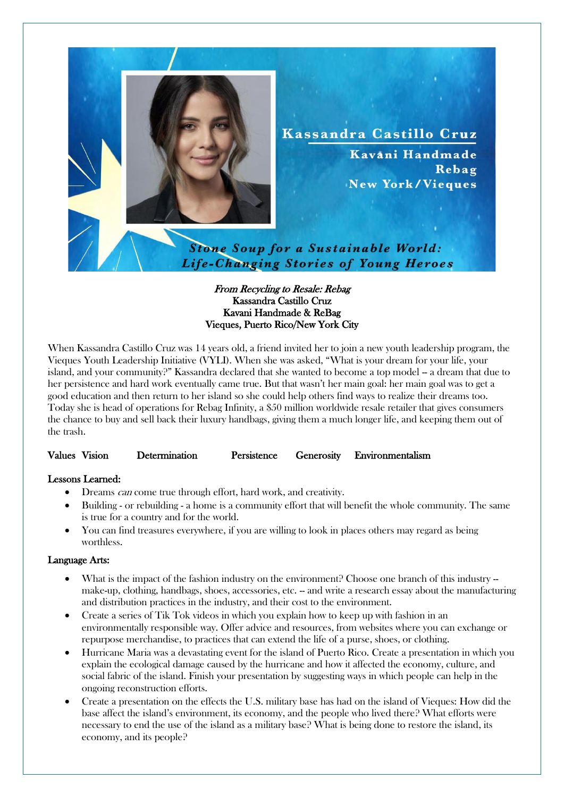

## From Recycling to Resale: Rebag Kassandra Castillo Cruz Kavani Handmade & ReBag Vieques, Puerto Rico/New York City

 $\overline{\phantom{a}}$ 

When Kassandra Castillo Cruz was 14 years old, a friend invited her to join a new youth leadership program, the Vieques Youth Leadership Initiative (VYLI). When she was asked, "What is your dream for your life, your island, and your community?" Kassandra declared that she wanted to become a top model -- a dream that due to her persistence and hard work eventually came true. But that wasn't her main goal: her main goal was to get a good education and then return to her island so she could help others find ways to realize their dreams too. Today she is head of operations for Rebag Infinity, a \$50 million worldwide resale retailer that gives consumers the chance to buy and sell back their luxury handbags, giving them a much longer life, and keeping them out of the trash.

# Values Vision Determination Persistence Generosity Environmentalism

### Lessons Learned:

- Dreams can come true through effort, hard work, and creativity.
- Building or rebuilding a home is a community effort that will benefit the whole community. The same is true for a country and for the world.
- You can find treasures everywhere, if you are willing to look in places others may regard as being worthless.

### Language Arts:

- What is the impact of the fashion industry on the environment? Choose one branch of this industry -make-up, clothing, handbags, shoes, accessories, etc. -- and write a research essay about the manufacturing and distribution practices in the industry, and their cost to the environment.
- Create a series of Tik Tok videos in which you explain how to keep up with fashion in an environmentally responsible way. Offer advice and resources, from websites where you can exchange or repurpose merchandise, to practices that can extend the life of a purse, shoes, or clothing.
- Hurricane Maria was a devastating event for the island of Puerto Rico. Create a presentation in which you explain the ecological damage caused by the hurricane and how it affected the economy, culture, and social fabric of the island. Finish your presentation by suggesting ways in which people can help in the ongoing reconstruction efforts.
- Create a presentation on the effects the U.S. military base has had on the island of Vieques: How did the base affect the island's environment, its economy, and the people who lived there? What efforts were necessary to end the use of the island as a military base? What is being done to restore the island, its economy, and its people?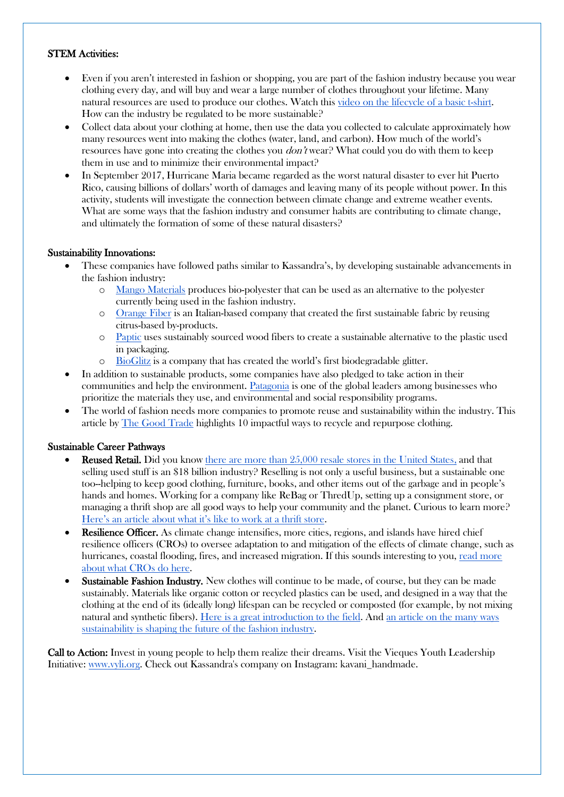## **STEM Activities:**

- Even if you aren't interested in fashion or shopping, you are part of the fashion industry because you wear clothing every day, and will buy and wear a large number of clothes throughout your lifetime. Many natural resources are used to produce our clothes. Watch this [video on the lifecycle of a basic t-shirt.](https://www.youtube.com/watch?v=BiSYoeqb_VY) How can the industry be regulated to be more sustainable?
- Collect data about your clothing at home, then use the data you collected to calculate approximately how many resources went into making the clothes (water, land, and carbon). How much of the world's resources have gone into creating the clothes you don't wear? What could you do with them to keep them in use and to minimize their environmental impact?
- In September 2017, Hurricane Maria became regarded as the worst natural disaster to ever hit Puerto Rico, causing billions of dollars' worth of damages and leaving many of its people without power. In this activity, students will investigate the connection between climate change and extreme weather events. What are some ways that the fashion industry and consumer habits are contributing to climate change, and ultimately the formation of some of these natural disasters?

## Sustainability Innovations:

- These companies have followed paths similar to Kassandra's, by developing sustainable advancements in the fashion industry:
	- o [Mango Materials](https://www.mangomaterials.com/) produces bio-polyester that can be used as an alternative to the polyester currently being used in the fashion industry.
	- o [Orange Fiber](http://orangefiber.it/en/) is an Italian-based company that created the first sustainable fabric by reusing citrus-based by-products.
	- o [Paptic](https://paptic.com/) uses sustainably sourced wood fibers to create a sustainable alternative to the plastic used in packaging.
	- o [BioGlitz](https://www.bioglitz.co/) is a company that has created the world's first biodegradable glitter.
- In addition to sustainable products, some companies have also pledged to take action in their communities and help the environment. [Patagonia](https://www.patagonia.com/our-footprint/) is one of the global leaders among businesses who prioritize the materials they use, and environmental and social responsibility programs.
- The world of fashion needs more companies to promote reuse and sustainability within the industry. This article by [The Good Trade](https://www.thegoodtrade.com/features/how-to-recycle-and-repurpose-clothing) highlights 10 impactful ways to recycle and repurpose clothing.

# Sustainable Career Pathways

- **Reused Retail.** Did you kno[w there are more than 25,000 resale stores in the United States,](https://www.census.gov/newsroom/stories/thrift-store-day.html) and that selling used stuff is an \$18 billion industry? Reselling is not only a useful business, but a sustainable one too--helping to keep good clothing, furniture, books, and other items out of the garbage and in people's hands and homes. Working for a company like ReBag or ThredUp, setting up a consignment store, or managing a thrift shop are all good ways to help your community and the planet. Curious to learn more? [Here's an article about what it's like to work at a thrift store](https://www.mentalfloss.com/article/625945/thermacell-mosquito-repellent-lantern?utm_content=infinitescroll1).
- Resilience Officer. As climate change intensifies, more cities, regions, and islands have hired chief resilience officers (CROs) to oversee adaptation to and mitigation of the effects of climate change, such as hurricanes, coastal flooding, fires, and increased migration. If this sounds interesting to you, read more [about what CROs do here.](https://www.rockefellerfoundation.org/blog/what-a-chief-resilience-officer-does/)
- **Sustainable Fashion Industry.** New clothes will continue to be made, of course, but they can be made sustainably. Materials like organic cotton or recycled plastics can be used, and designed in a way that the clothing at the end of its (ideally long) lifespan can be recycled or composted (for example, by not mixing natural and synthetic fibers). [Here is a great introduction to the field.](https://en.wikipedia.org/wiki/Sustainable_fashion) And [an article on the many ways](https://www.thegoodtrade.com/features/sustainable-fashion-jobs)  [sustainability is shaping the future of the fashion industry.](https://www.thegoodtrade.com/features/sustainable-fashion-jobs)

Call to Action: Invest in young people to help them realize their dreams. Visit the Vieques Youth Leadership Initiative: [www.vyli.org.](http://www.vyli.org/) Check out Kassandra's company on Instagram: kavani\_handmade.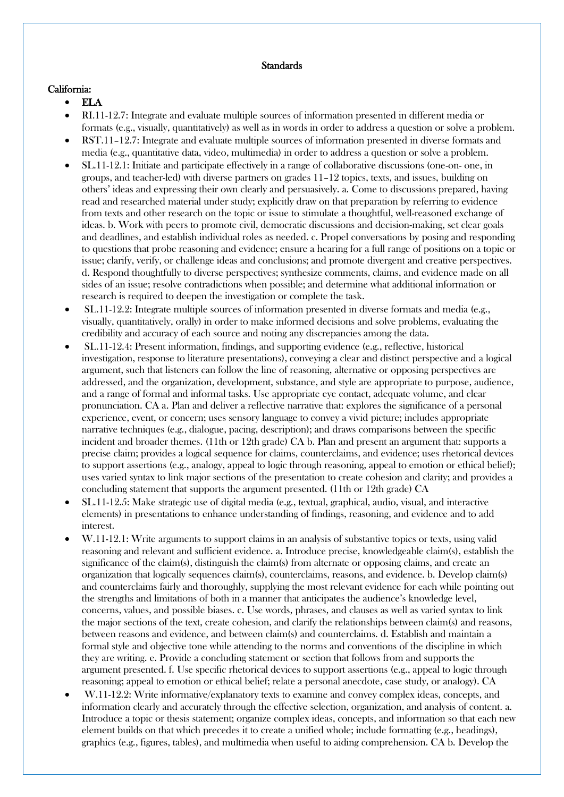### Standards

## California:

- ELA
- RI.11-12.7: Integrate and evaluate multiple sources of information presented in different media or formats (e.g., visually, quantitatively) as well as in words in order to address a question or solve a problem.
- RST.11–12.7: Integrate and evaluate multiple sources of information presented in diverse formats and media (e.g., quantitative data, video, multimedia) in order to address a question or solve a problem.
- SL.11-12.1: Initiate and participate effectively in a range of collaborative discussions (one-on- one, in groups, and teacher-led) with diverse partners on grades 11–12 topics, texts, and issues, building on others' ideas and expressing their own clearly and persuasively. a. Come to discussions prepared, having read and researched material under study; explicitly draw on that preparation by referring to evidence from texts and other research on the topic or issue to stimulate a thoughtful, well-reasoned exchange of ideas. b. Work with peers to promote civil, democratic discussions and decision-making, set clear goals and deadlines, and establish individual roles as needed. c. Propel conversations by posing and responding to questions that probe reasoning and evidence; ensure a hearing for a full range of positions on a topic or issue; clarify, verify, or challenge ideas and conclusions; and promote divergent and creative perspectives. d. Respond thoughtfully to diverse perspectives; synthesize comments, claims, and evidence made on all sides of an issue; resolve contradictions when possible; and determine what additional information or research is required to deepen the investigation or complete the task.
- SL.11-12.2: Integrate multiple sources of information presented in diverse formats and media (e.g., visually, quantitatively, orally) in order to make informed decisions and solve problems, evaluating the credibility and accuracy of each source and noting any discrepancies among the data.
- SL.11-12.4: Present information, findings, and supporting evidence (e.g., reflective, historical investigation, response to literature presentations), conveying a clear and distinct perspective and a logical argument, such that listeners can follow the line of reasoning, alternative or opposing perspectives are addressed, and the organization, development, substance, and style are appropriate to purpose, audience, and a range of formal and informal tasks. Use appropriate eye contact, adequate volume, and clear pronunciation. CA a. Plan and deliver a reflective narrative that: explores the significance of a personal experience, event, or concern; uses sensory language to convey a vivid picture; includes appropriate narrative techniques (e.g., dialogue, pacing, description); and draws comparisons between the specific incident and broader themes. (11th or 12th grade) CA b. Plan and present an argument that: supports a precise claim; provides a logical sequence for claims, counterclaims, and evidence; uses rhetorical devices to support assertions (e.g., analogy, appeal to logic through reasoning, appeal to emotion or ethical belief); uses varied syntax to link major sections of the presentation to create cohesion and clarity; and provides a concluding statement that supports the argument presented. (11th or 12th grade) CA
- SL.11-12.5: Make strategic use of digital media (e.g., textual, graphical, audio, visual, and interactive elements) in presentations to enhance understanding of findings, reasoning, and evidence and to add interest.
- W.11-12.1: Write arguments to support claims in an analysis of substantive topics or texts, using valid reasoning and relevant and sufficient evidence. a. Introduce precise, knowledgeable claim(s), establish the significance of the claim(s), distinguish the claim(s) from alternate or opposing claims, and create an organization that logically sequences claim(s), counterclaims, reasons, and evidence. b. Develop claim(s) and counterclaims fairly and thoroughly, supplying the most relevant evidence for each while pointing out the strengths and limitations of both in a manner that anticipates the audience's knowledge level, concerns, values, and possible biases. c. Use words, phrases, and clauses as well as varied syntax to link the major sections of the text, create cohesion, and clarify the relationships between claim(s) and reasons, between reasons and evidence, and between claim(s) and counterclaims. d. Establish and maintain a formal style and objective tone while attending to the norms and conventions of the discipline in which they are writing. e. Provide a concluding statement or section that follows from and supports the argument presented. f. Use specific rhetorical devices to support assertions (e.g., appeal to logic through reasoning; appeal to emotion or ethical belief; relate a personal anecdote, case study, or analogy). CA
- W.11-12.2: Write informative/explanatory texts to examine and convey complex ideas, concepts, and information clearly and accurately through the effective selection, organization, and analysis of content. a. Introduce a topic or thesis statement; organize complex ideas, concepts, and information so that each new element builds on that which precedes it to create a unified whole; include formatting (e.g., headings), graphics (e.g., figures, tables), and multimedia when useful to aiding comprehension. CA b. Develop the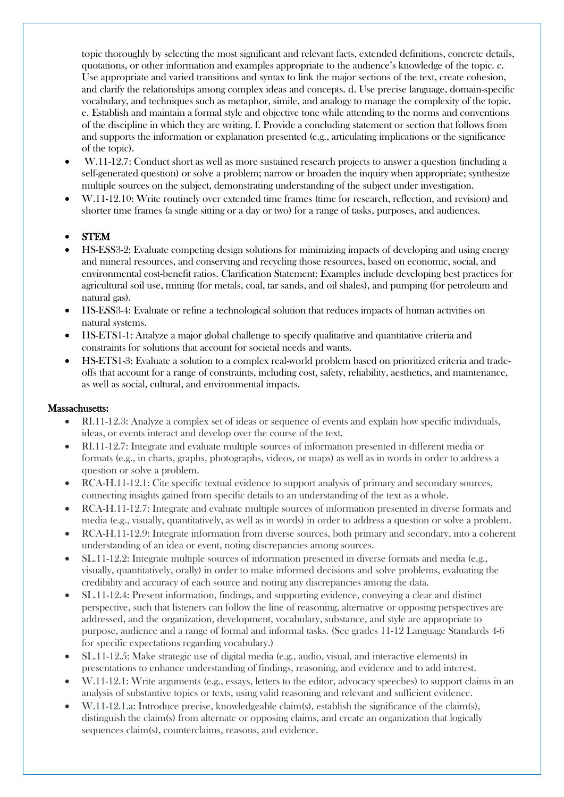topic thoroughly by selecting the most significant and relevant facts, extended definitions, concrete details, quotations, or other information and examples appropriate to the audience's knowledge of the topic. c. Use appropriate and varied transitions and syntax to link the major sections of the text, create cohesion, and clarify the relationships among complex ideas and concepts. d. Use precise language, domain-specific vocabulary, and techniques such as metaphor, simile, and analogy to manage the complexity of the topic. e. Establish and maintain a formal style and objective tone while attending to the norms and conventions of the discipline in which they are writing. f. Provide a concluding statement or section that follows from and supports the information or explanation presented (e.g., articulating implications or the significance of the topic).

- W.11-12.7: Conduct short as well as more sustained research projects to answer a question (including a self-generated question) or solve a problem; narrow or broaden the inquiry when appropriate; synthesize multiple sources on the subject, demonstrating understanding of the subject under investigation.
- W.11-12.10: Write routinely over extended time frames (time for research, reflection, and revision) and shorter time frames (a single sitting or a day or two) for a range of tasks, purposes, and audiences.

# • STEM

- HS-ESS3-2: Evaluate competing design solutions for minimizing impacts of developing and using energy and mineral resources, and conserving and recycling those resources, based on economic, social, and environmental cost-benefit ratios. Clarification Statement: Examples include developing best practices for agricultural soil use, mining (for metals, coal, tar sands, and oil shales), and pumping (for petroleum and natural gas).
- HS-ESS3-4: Evaluate or refine a technological solution that reduces impacts of human activities on natural systems.
- HS-ETS1-1: Analyze a major global challenge to specify qualitative and quantitative criteria and constraints for solutions that account for societal needs and wants.
- HS-ETS1-3: Evaluate a solution to a complex real-world problem based on prioritized criteria and tradeoffs that account for a range of constraints, including cost, safety, reliability, aesthetics, and maintenance, as well as social, cultural, and environmental impacts.

### Massachusetts:

- RI.11-12.3: Analyze a complex set of ideas or sequence of events and explain how specific individuals, ideas, or events interact and develop over the course of the text.
- RI.11-12.7: Integrate and evaluate multiple sources of information presented in different media or formats (e.g., in charts, graphs, photographs, videos, or maps) as well as in words in order to address a question or solve a problem.
- RCA-H.11-12.1: Cite specific textual evidence to support analysis of primary and secondary sources, connecting insights gained from specific details to an understanding of the text as a whole.
- RCA-H.11-12.7: Integrate and evaluate multiple sources of information presented in diverse formats and media (e.g., visually, quantitatively, as well as in words) in order to address a question or solve a problem.
- RCA-H.11-12.9: Integrate information from diverse sources, both primary and secondary, into a coherent understanding of an idea or event, noting discrepancies among sources.
- SL.11-12.2: Integrate multiple sources of information presented in diverse formats and media (e.g., visually, quantitatively, orally) in order to make informed decisions and solve problems, evaluating the credibility and accuracy of each source and noting any discrepancies among the data.
- SL.11-12.4: Present information, findings, and supporting evidence, conveying a clear and distinct perspective, such that listeners can follow the line of reasoning, alternative or opposing perspectives are addressed, and the organization, development, vocabulary, substance, and style are appropriate to purpose, audience and a range of formal and informal tasks. (See grades 11-12 Language Standards 4-6 for specific expectations regarding vocabulary.)
- SL.11-12.5: Make strategic use of digital media (e.g., audio, visual, and interactive elements) in presentations to enhance understanding of findings, reasoning, and evidence and to add interest.
- W.11-12.1: Write arguments (e.g., essays, letters to the editor, advocacy speeches) to support claims in an analysis of substantive topics or texts, using valid reasoning and relevant and sufficient evidence.
- W.11-12.1.a: Introduce precise, knowledgeable claim(s), establish the significance of the claim(s), distinguish the claim(s) from alternate or opposing claims, and create an organization that logically sequences claim(s), counterclaims, reasons, and evidence.